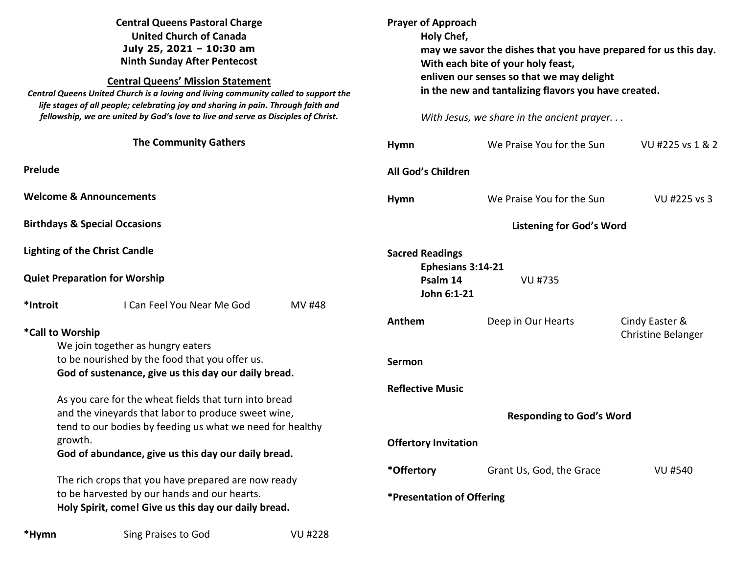| <b>Central Queens Pastoral Charge</b><br><b>United Church of Canada</b><br>July 25, 2021 - 10:30 am<br><b>Ninth Sunday After Pentecost</b><br><b>Central Queens' Mission Statement</b><br>Central Queens United Church is a loving and living community called to support the<br>life stages of all people; celebrating joy and sharing in pain. Through faith and<br>fellowship, we are united by God's love to live and serve as Disciples of Christ. |                         | <b>Prayer of Approach</b><br>Holy Chef, | may we savor the dishes that you have prepared for us this day.<br>With each bite of your holy feast,<br>enliven our senses so that we may delight<br>in the new and tantalizing flavors you have created.<br>With Jesus, we share in the ancient prayer |                                             |
|---------------------------------------------------------------------------------------------------------------------------------------------------------------------------------------------------------------------------------------------------------------------------------------------------------------------------------------------------------------------------------------------------------------------------------------------------------|-------------------------|-----------------------------------------|----------------------------------------------------------------------------------------------------------------------------------------------------------------------------------------------------------------------------------------------------------|---------------------------------------------|
| <b>The Community Gathers</b>                                                                                                                                                                                                                                                                                                                                                                                                                            | <b>Hymn</b>             |                                         | We Praise You for the Sun                                                                                                                                                                                                                                | VU #225 vs 1 & 2                            |
| <b>Prelude</b>                                                                                                                                                                                                                                                                                                                                                                                                                                          | All God's Children      |                                         |                                                                                                                                                                                                                                                          |                                             |
| <b>Welcome &amp; Announcements</b>                                                                                                                                                                                                                                                                                                                                                                                                                      | <b>Hymn</b>             |                                         | We Praise You for the Sun                                                                                                                                                                                                                                | VU #225 vs 3                                |
| <b>Birthdays &amp; Special Occasions</b>                                                                                                                                                                                                                                                                                                                                                                                                                |                         | <b>Listening for God's Word</b>         |                                                                                                                                                                                                                                                          |                                             |
| <b>Lighting of the Christ Candle</b><br><b>Quiet Preparation for Worship</b>                                                                                                                                                                                                                                                                                                                                                                            | <b>Sacred Readings</b>  | Ephesians 3:14-21<br>Psalm 14           | <b>VU #735</b>                                                                                                                                                                                                                                           |                                             |
| I Can Feel You Near Me God<br>*Introit<br>MV #48                                                                                                                                                                                                                                                                                                                                                                                                        |                         | John 6:1-21                             |                                                                                                                                                                                                                                                          |                                             |
| *Call to Worship<br>We join together as hungry eaters<br>to be nourished by the food that you offer us.<br>God of sustenance, give us this day our daily bread.                                                                                                                                                                                                                                                                                         | Anthem<br><b>Sermon</b> |                                         | Deep in Our Hearts                                                                                                                                                                                                                                       | Cindy Easter &<br><b>Christine Belanger</b> |
| As you care for the wheat fields that turn into bread<br>and the vineyards that labor to produce sweet wine,<br>tend to our bodies by feeding us what we need for healthy                                                                                                                                                                                                                                                                               | <b>Reflective Music</b> |                                         | <b>Responding to God's Word</b>                                                                                                                                                                                                                          |                                             |
| growth.<br>God of abundance, give us this day our daily bread.                                                                                                                                                                                                                                                                                                                                                                                          |                         | <b>Offertory Invitation</b>             |                                                                                                                                                                                                                                                          |                                             |
| The rich crops that you have prepared are now ready<br>to be harvested by our hands and our hearts.<br>Holy Spirit, come! Give us this day our daily bread.                                                                                                                                                                                                                                                                                             | *Offertory              | *Presentation of Offering               | Grant Us, God, the Grace                                                                                                                                                                                                                                 | <b>VU #540</b>                              |

\*Hymn **Sing Praises to God** VU #228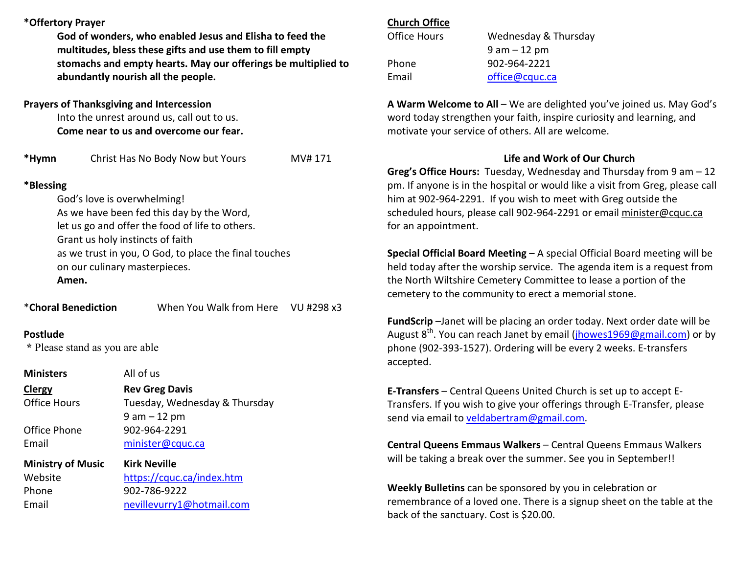# **\*Offertory Prayer**

**God of wonders, who enabled Jesus and Elisha to feed the multitudes, bless these gifts and use them to fill empty stomachs and empty hearts. May our offerings be multiplied to abundantly nourish all the people.** 

## **Prayers of Thanksgiving and Intercession**

Into the unrest around us, call out to us. **Come near to us and overcome our fear.** 

**\*Hymn** Christ Has No Body Now but Yours MV# 171

### **\*Blessing**

God's love is overwhelming! As we have been fed this day by the Word, let us go and offer the food of life to others. Grant us holy instincts of faith as we trust in you, O God, to place the final touches on our culinary masterpieces. **Amen.**

\***Choral Benediction** When You Walk from Here VU #298 x3

### **Postlude**

 **\*** Please stand as you are able

**Ministers** All of us

**ClergyClergy Careg Davis**<br>**Clergy Rev Greg Davis** Tuesday, Wednesday & Thursday 9 am – 12 pm Office Phone 902-964-2291 Email minister@cquc.ca

**Ministry of Music Kirk Neville**Website https://cquc.ca/index.htm Phone 902-786-9222 Email nevillevurry1@hotmail.com

## **Church Office**

| Office Hours | Wednesday & Thursday |
|--------------|----------------------|
|              | $9$ am $-12$ pm      |
| Phone        | 902-964-2221         |
| Email        | office@cquc.ca       |

**A Warm Welcome to All** – We are delighted you've joined us. May God's word today strengthen your faith, inspire curiosity and learning, and motivate your service of others. All are welcome.

# **Life and Work of Our Church**

 **Greg's Office Hours:** Tuesday, Wednesday and Thursday from 9 am – 12 pm. If anyone is in the hospital or would like a visit from Greg, please call him at 902-964-2291. If you wish to meet with Greg outside the scheduled hours, please call 902-964-2291 or email minister@cquc.ca for an appointment.

**Special Official Board Meeting** – A special Official Board meeting will be held today after the worship service. The agenda item is a request from the North Wiltshire Cemetery Committee to lease a portion of the cemetery to the community to erect a memorial stone.

**FundScrip** –Janet will be placing an order today. Next order date will be August 8<sup>th</sup>. You can reach Janet by email (<u>jhowes1969@gmail.com</u>) or by phone (902-393-1527). Ordering will be every 2 weeks. E-transfers accepted.

**E-Transfers** – Central Queens United Church is set up to accept E-Transfers. If you wish to give your offerings through E-Transfer, please send via email to veldabertram@gmail.com.

**Central Queens Emmaus Walkers** – Central Queens Emmaus Walkers will be taking a break over the summer. See you in September!!

**Weekly Bulletins** can be sponsored by you in celebration or remembrance of a loved one. There is a signup sheet on the table at the back of the sanctuary. Cost is \$20.00.